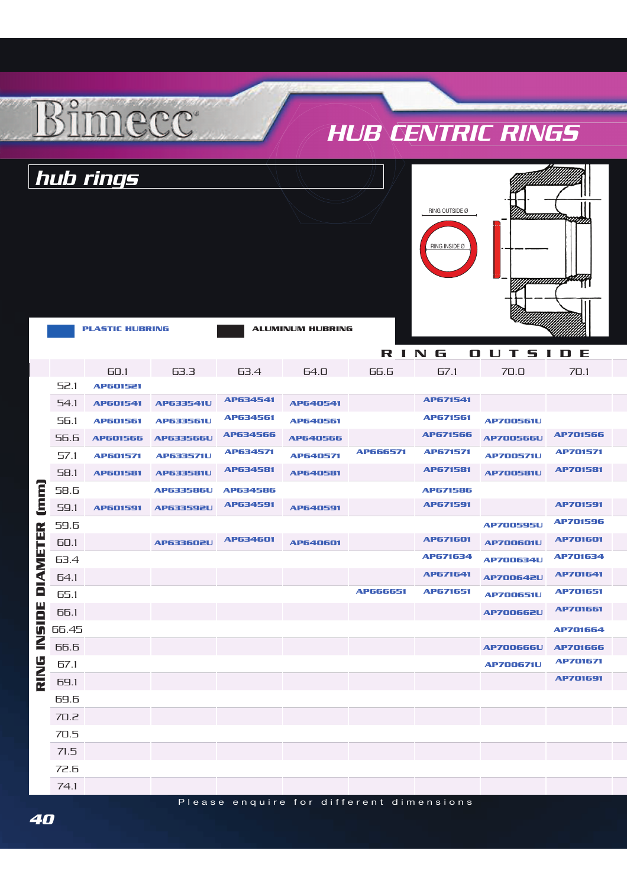## HUB CENTRIC RINGS

|                                               |       | hub rings              |                  |                      |                         |          |                                 |                  |                 |
|-----------------------------------------------|-------|------------------------|------------------|----------------------|-------------------------|----------|---------------------------------|------------------|-----------------|
|                                               |       | <b>PLASTIC HUBRING</b> |                  |                      | <b>ALUMINUM HUBRING</b> |          | RING OUTSIDE Ø<br>RING INSIDE Ø |                  |                 |
|                                               |       |                        |                  |                      |                         | RING     |                                 | <b>OUTSIDE</b>   |                 |
|                                               |       | 60.1                   | 63.3             | 63.4                 | 64.0                    | 66.6     | 67.1                            | 70.0             | 70.1            |
|                                               | 52.1  | AP601521               |                  | AP634541             |                         |          | AP671541                        |                  |                 |
|                                               | 54.1  | AP601541               | <b>AP633541U</b> | AP634561             | AP640541                |          | AP671561                        |                  |                 |
|                                               | 56.1  | <b>AP601561</b>        | <b>AP633561U</b> | AP634566             | AP640561                |          | AP671566                        | <b>AP700561U</b> | <b>AP701566</b> |
|                                               | 56.6  | <b>AP601566</b>        | <b>AP633566U</b> | AP634571             | <b>AP640566</b>         | AP666571 | AP671571                        | <b>AP700566U</b> | <b>AP701571</b> |
|                                               | 57.1  | <b>AP601571</b>        | <b>AP633571U</b> | AP634581             | AP640571                |          | AP671581                        | <b>AP700571U</b> | <b>AP701581</b> |
|                                               | 58.1  | AP601581               | <b>AP633581U</b> |                      | AP640581                |          |                                 | <b>AP700581U</b> |                 |
| [mm]                                          | 58.6  |                        | <b>AP633586U</b> | AP634586<br>AP634591 |                         |          | <b>AP671586</b><br>AP671591     |                  | <b>AP701591</b> |
| <b>DIAMETER</b>                               | 59.1  | AP601591               | <b>AP633592U</b> |                      | AP640591                |          |                                 |                  | <b>AP701596</b> |
|                                               | 59.6  |                        |                  | AP634601             |                         |          | AP671601                        | <b>AP700595U</b> | <b>AP701601</b> |
|                                               | 60.1  |                        | <b>AP633602U</b> |                      | AP640601                |          | AP671634                        | <b>AP700601U</b> | AP701634        |
|                                               | 63.4  |                        |                  |                      |                         |          | AP671641                        | <b>AP700634U</b> | AP701641        |
|                                               | 64.1  |                        |                  |                      |                         | AP666651 | AP671651                        | <b>AP700642U</b> | AP701651        |
|                                               | 65.1  |                        |                  |                      |                         |          |                                 | <b>AP700651U</b> | AP701661        |
| SIDE<br>$\ddot{\bm{\epsilon}}$<br><b>RING</b> | 66.1  |                        |                  |                      |                         |          |                                 | <b>AP700662U</b> |                 |
|                                               | 66.45 |                        |                  |                      |                         |          |                                 |                  | AP701664        |
|                                               | 66.6  |                        |                  |                      |                         |          |                                 | <b>AP700666U</b> | <b>AP701666</b> |
|                                               | 67.1  |                        |                  |                      |                         |          |                                 | <b>AP700671U</b> | <b>AP701671</b> |
|                                               | 69.1  |                        |                  |                      |                         |          |                                 |                  | AP701691        |
|                                               | 69.6  |                        |                  |                      |                         |          |                                 |                  |                 |
|                                               | 70.2  |                        |                  |                      |                         |          |                                 |                  |                 |
|                                               | 70.5  |                        |                  |                      |                         |          |                                 |                  |                 |

71.5 72.6 74.1

 $R^{o}_{11}$ 

mecc